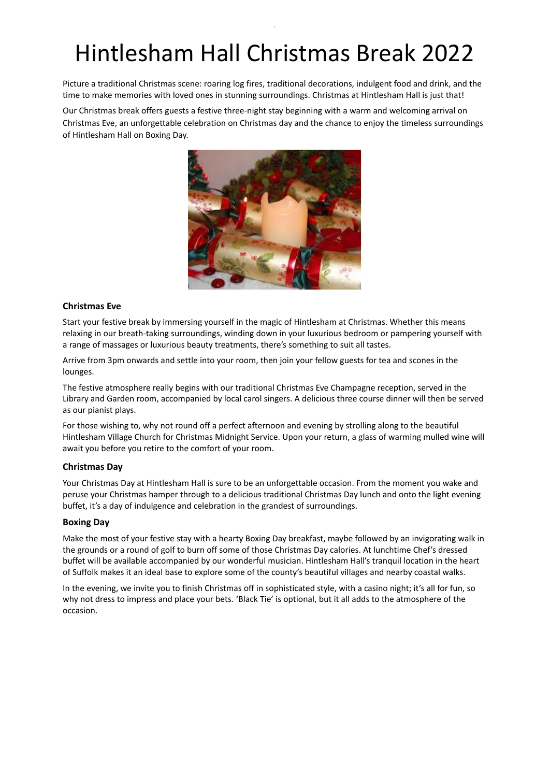# Hintlesham Hall Christmas Break 2022

6

Picture a traditional Christmas scene: roaring log fires, traditional decorations, indulgent food and drink, and the time to make memories with loved ones in stunning surroundings. Christmas at Hintlesham Hall is just that!

Our Christmas break offers guests a festive three-night stay beginning with a warm and welcoming arrival on Christmas Eve, an unforgettable celebration on Christmas day and the chance to enjoy the timeless surroundings of Hintlesham Hall on Boxing Day.



#### **Christmas Eve**

Start your festive break by immersing yourself in the magic of Hintlesham at Christmas. Whether this means relaxing in our breath-taking surroundings, winding down in your luxurious bedroom or pampering yourself with a range of massages or luxurious beauty treatments, there's something to suit all tastes.

Arrive from 3pm onwards and settle into your room, then join your fellow guests for tea and scones in the lounges.

The festive atmosphere really begins with our traditional Christmas Eve Champagne reception, served in the Library and Garden room, accompanied by local carol singers. A delicious three course dinner will then be served as our pianist plays.

For those wishing to, why not round off a perfect afternoon and evening by strolling along to the beautiful Hintlesham Village Church for Christmas Midnight Service. Upon your return, a glass of warming mulled wine will await you before you retire to the comfort of your room.

#### **Christmas Day**

Your Christmas Day at Hintlesham Hall is sure to be an unforgettable occasion. From the moment you wake and peruse your Christmas hamper through to a delicious traditional Christmas Day lunch and onto the light evening buffet, it's a day of indulgence and celebration in the grandest of surroundings.

#### **Boxing Day**

Make the most of your festive stay with a hearty Boxing Day breakfast, maybe followed by an invigorating walk in the grounds or a round of golf to burn off some of those Christmas Day calories. At lunchtime Chef's dressed buffet will be available accompanied by our wonderful musician. Hintlesham Hall's tranquil location in the heart of Suffolk makes it an ideal base to explore some of the county's beautiful villages and nearby coastal walks.

In the evening, we invite you to finish Christmas off in sophisticated style, with a casino night; it's all for fun, so why not dress to impress and place your bets. 'Black Tie' is optional, but it all adds to the atmosphere of the occasion.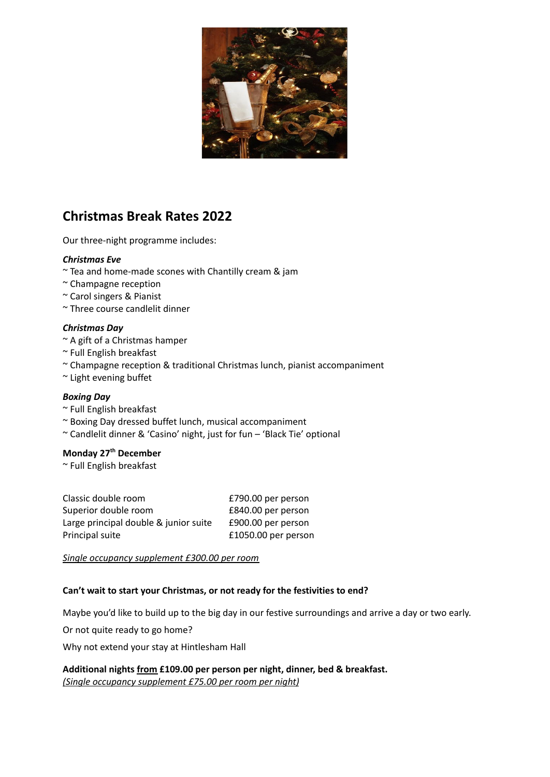

# **Christmas Break Rates 2022**

Our three-night programme includes:

### *Christmas Eve*

- ~ Tea and home-made scones with Chantilly cream & jam
- ~ Champagne reception
- ~ Carol singers & Pianist
- ~ Three course candlelit dinner

### *Christmas Day*

- ~ A gift of a Christmas hamper
- ~ Full English breakfast
- ~ Champagne reception & traditional Christmas lunch, pianist accompaniment
- ~ Light evening buffet

#### *Boxing Day*

- ~ Full English breakfast
- ~ Boxing Day dressed buffet lunch, musical accompaniment
- ~ Candlelit dinner & 'Casino' night, just for fun 'Black Tie' optional

## **Monday 27 th December**

~ Full English breakfast

| Classic double room                   | £790.00 per person  |
|---------------------------------------|---------------------|
| Superior double room                  | £840.00 per person  |
| Large principal double & junior suite | £900.00 per person  |
| Principal suite                       | £1050.00 per person |

*Single occupancy supplement £300.00 per room*

### **Can't wait to start your Christmas, or not ready for the festivities to end?**

Maybe you'd like to build up to the big day in our festive surroundings and arrive a day or two early.

Or not quite ready to go home?

Why not extend your stay at Hintlesham Hall

**Additional nights from £109.00 per person per night, dinner, bed & breakfast.** *(Single occupancy supplement £75.00 per room per night)*